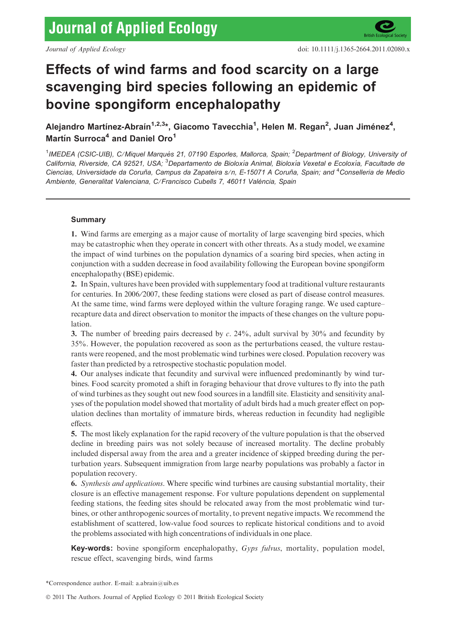

# Effects of wind farms and food scarcity on a large scavenging bird species following an epidemic of bovine spongiform encephalopathy

Alejandro Martínez-Abraín<sup>1,2,3</sup>\*, Giacomo Tavecchia<sup>1</sup>, Helen M. Regan<sup>2</sup>, Juan Jiménez<sup>4</sup>, Martín Surroca<sup>4</sup> and Daniel Oro<sup>1</sup>

<sup>1</sup>IMEDEA (CSIC-UIB), C/Miquel Marquès 21, 07190 Esporles, Mallorca, Spain; <sup>2</sup>Department of Biology, University oi California, Riverside, CA 92521, USA; <sup>3</sup>Departamento de Bioloxía Animal, Bioloxía Vexetal e Ecoloxía, Facultade de Ciencias, Universidade da Coruña, Campus da Zapateira s/n, E-15071 A Coruña, Spain; and <sup>4</sup>Conselleria de Medio Ambiente, Generalitat Valenciana, C/Francisco Cubells 7, 46011 València, Spain

# Summary

1. Wind farms are emerging as a major cause of mortality of large scavenging bird species, which may be catastrophic when they operate in concert with other threats. As a study model, we examine the impact of wind turbines on the population dynamics of a soaring bird species, when acting in conjunction with a sudden decrease in food availability following the European bovine spongiform encephalopathy (BSE) epidemic.

2. In Spain, vultures have been provided with supplementary food at traditional vulture restaurants for centuries. In 2006/2007, these feeding stations were closed as part of disease control measures. At the same time, wind farms were deployed within the vulture foraging range. We used capture– recapture data and direct observation to monitor the impacts of these changes on the vulture population.

3. The number of breeding pairs decreased by  $c$ . 24%, adult survival by 30% and fecundity by 35%. However, the population recovered as soon as the perturbations ceased, the vulture restaurants were reopened, and the most problematic wind turbines were closed. Population recovery was faster than predicted by a retrospective stochastic population model.

4. Our analyses indicate that fecundity and survival were influenced predominantly by wind turbines. Food scarcity promoted a shift in foraging behaviour that drove vultures to fly into the path of wind turbines as they sought out new food sources in a landfill site. Elasticity and sensitivity analyses of the population model showed that mortality of adult birds had a much greater effect on population declines than mortality of immature birds, whereas reduction in fecundity had negligible effects.

5. The most likely explanation for the rapid recovery of the vulture population is that the observed decline in breeding pairs was not solely because of increased mortality. The decline probably included dispersal away from the area and a greater incidence of skipped breeding during the perturbation years. Subsequent immigration from large nearby populations was probably a factor in population recovery.

6. Synthesis and applications. Where specific wind turbines are causing substantial mortality, their closure is an effective management response. For vulture populations dependent on supplemental feeding stations, the feeding sites should be relocated away from the most problematic wind turbines, or other anthropogenic sources of mortality, to prevent negative impacts. We recommend the establishment of scattered, low-value food sources to replicate historical conditions and to avoid the problems associated with high concentrations of individuals in one place.

Key-words: bovine spongiform encephalopathy, Gyps fulvus, mortality, population model, rescue effect, scavenging birds, wind farms

\*Correspondence author. E-mail: a.abrain@uib.es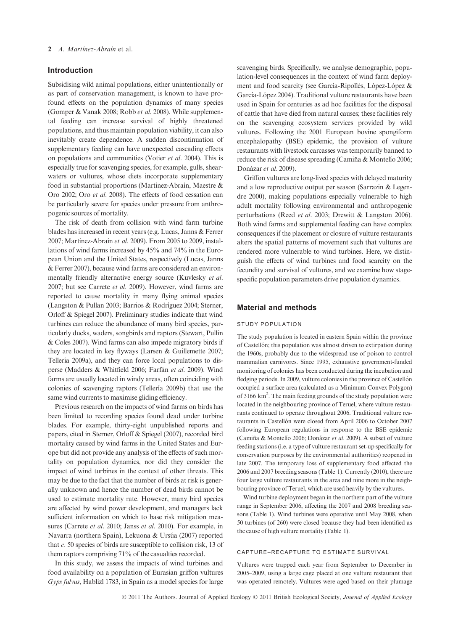## Introduction

Subsidising wild animal populations, either unintentionally or as part of conservation management, is known to have profound effects on the population dynamics of many species (Gomper & Vanak 2008; Robb et al. 2008). While supplemental feeding can increase survival of highly threatened populations, and thus maintain population viability, it can also inevitably create dependence. A sudden discontinuation of supplementary feeding can have unexpected cascading effects on populations and communities (Votier et al. 2004). This is especially true for scavenging species, for example, gulls, shearwaters or vultures, whose diets incorporate supplementary food in substantial proportions (Martínez-Abraín, Maestre  $\&$ Oro 2002; Oro et al. 2008). The effects of food cessation can be particularly severe for species under pressure from anthropogenic sources of mortality.

The risk of death from collision with wind farm turbine blades has increased in recent years (e.g. Lucas, Janns & Ferrer 2007; Martínez-Abraín et al. 2009). From 2005 to 2009, installations of wind farms increased by 45% and 74% in the European Union and the United States, respectively (Lucas, Janns & Ferrer 2007), because wind farms are considered an environmentally friendly alternative energy source (Kuvlesky et al. 2007; but see Carrete et al. 2009). However, wind farms are reported to cause mortality in many flying animal species (Langston & Pullan 2003; Barrios & Rodríguez 2004; Sterner, Orloff & Spiegel 2007). Preliminary studies indicate that wind turbines can reduce the abundance of many bird species, particularly ducks, waders, songbirds and raptors (Stewart, Pullin & Coles 2007). Wind farms can also impede migratory birds if they are located in key flyways (Larsen & Guillemette 2007; Tellería 2009a), and they can force local populations to disperse (Madders & Whitfield 2006; Farfán et al. 2009). Wind farms are usually located in windy areas, often coinciding with colonies of scavenging raptors (Tellería 2009b) that use the same wind currents to maximise gliding efficiency.

Previous research on the impacts of wind farms on birds has been limited to recording species found dead under turbine blades. For example, thirty-eight unpublished reports and papers, cited in Sterner, Orloff & Spiegel (2007), recorded bird mortality caused by wind farms in the United States and Europe but did not provide any analysis of the effects of such mortality on population dynamics, nor did they consider the impact of wind turbines in the context of other threats. This may be due to the fact that the number of birds at risk is generally unknown and hence the number of dead birds cannot be used to estimate mortality rate. However, many bird species are affected by wind power development, and managers lack sufficient information on which to base risk mitigation measures (Carrete et al. 2010; Janss et al. 2010). For example, in Navarra (northern Spain), Lekuona & Ursúa (2007) reported that c. 50 species of birds are susceptible to collision risk, 13 of them raptors comprising 71% of the casualties recorded.

In this study, we assess the impacts of wind turbines and food availability on a population of Eurasian griffon vultures Gyps fulvus, Hablizl 1783, in Spain as a model species for large scavenging birds. Specifically, we analyse demographic, population-level consequences in the context of wind farm deployment and food scarcity (see García-Ripollés, López-López & García-López 2004). Traditional vulture restaurants have been used in Spain for centuries as ad hoc facilities for the disposal of cattle that have died from natural causes; these facilities rely on the scavenging ecosystem services provided by wild vultures. Following the 2001 European bovine spongiform encephalopathy (BSE) epidemic, the provision of vulture restaurants with livestock carcasses was temporarily banned to reduce the risk of disease spreading (Camiña & Montelio 2006; Donázar et al. 2009).

Griffon vultures are long-lived species with delayed maturity and a low reproductive output per season (Sarrazin & Legendre 2000), making populations especially vulnerable to high adult mortality following environmental and anthropogenic perturbations (Reed et al. 2003; Drewitt & Langston 2006). Both wind farms and supplemental feeding can have complex consequences if the placement or closure of vulture restaurants alters the spatial patterns of movement such that vultures are rendered more vulnerable to wind turbines. Here, we distinguish the effects of wind turbines and food scarcity on the fecundity and survival of vultures, and we examine how stagespecific population parameters drive population dynamics.

# Material and methods

## STUDY POPULATION

The study population is located in eastern Spain within the province of Castellón; this population was almost driven to extirpation during the 1960s, probably due to the widespread use of poison to control mammalian carnivores. Since 1995, exhaustive government-funded monitoring of colonies has been conducted during the incubation and fledging periods. In 2009, vulture colonies in the province of Castellón occupied a surface area (calculated as a Minimum Convex Polygon) of 3166 km2 . The main feeding grounds of the study population were located in the neighbouring province of Teruel, where vulture restaurants continued to operate throughout 2006. Traditional vulture restaurants in Castellón were closed from April 2006 to October 2007 following European regulations in response to the BSE epidemic (Camiña & Montelío 2006; Donázar et al. 2009). A subset of vulture feeding stations (i.e. a type of vulture restaurant set-up specifically for conservation purposes by the environmental authorities) reopened in late 2007. The temporary loss of supplementary food affected the 2006 and 2007 breeding seasons (Table 1). Currently (2010), there are four large vulture restaurants in the area and nine more in the neighbouring province of Teruel, which are used heavily by the vultures.

Wind turbine deployment began in the northern part of the vulture range in September 2006, affecting the 2007 and 2008 breeding seasons (Table 1). Wind turbines were operative until May 2008, when 50 turbines (of 260) were closed because they had been identified as the cause of high vulture mortality (Table 1).

# CAPTURE–RECAPTURE TO ESTIMATE SURVIVAL

Vultures were trapped each year from September to December in 2005–2009, using a large cage placed at one vulture restaurant that was operated remotely. Vultures were aged based on their plumage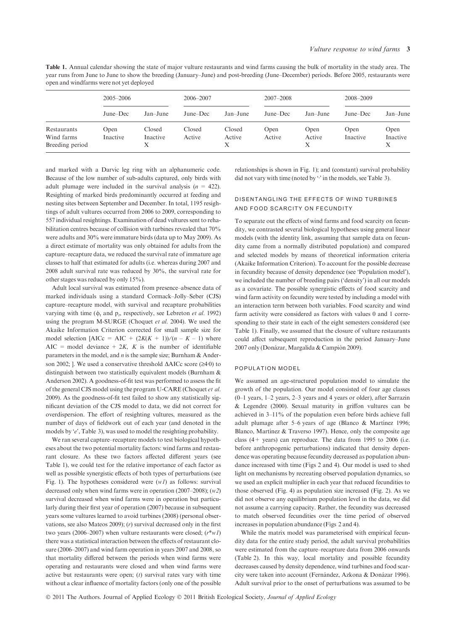Table 1. Annual calendar showing the state of major vulture restaurants and wind farms causing the bulk of mortality in the study area. The year runs from June to June to show the breeding (January–June) and post-breeding (June–December) periods. Before 2005, restaurants were open and windfarms were not yet deployed

|                                              | $2005 - 2006$    |                         | 2006–2007        |                       | 2007-2008      |                     | 2008-2009        |                       |
|----------------------------------------------|------------------|-------------------------|------------------|-----------------------|----------------|---------------------|------------------|-----------------------|
|                                              | June–Dec         | $Jan$ -June             | June–Dec         | $Jan$ -June           | $June-Dec$     | Jan-June            | June–Dec         | Jan-June              |
| Restaurants<br>Wind farms<br>Breeding period | Open<br>Inactive | Closed<br>Inactive<br>Х | Closed<br>Active | Closed<br>Active<br>X | Open<br>Active | Open<br>Active<br>Х | Open<br>Inactive | Open<br>Inactive<br>Х |

and marked with a Darvic leg ring with an alphanumeric code. Because of the low number of sub-adults captured, only birds with adult plumage were included in the survival analysis  $(n = 422)$ . Resighting of marked birds predominantly occurred at feeding and nesting sites between September and December. In total, 1195 resightings of adult vultures occurred from 2006 to 2009, corresponding to 557 individual resightings. Examination of dead vultures sent to rehabilitation centres because of collision with turbines revealed that 70% were adults and 30% were immature birds (data up to May 2009). As a direct estimate of mortality was only obtained for adults from the capture–recapture data, we reduced the survival rate of immature age classes to half that estimated for adults (i.e. whereas during 2007 and 2008 adult survival rate was reduced by 30%, the survival rate for other stages was reduced by only 15%).

Adult local survival was estimated from presence–absence data of marked individuals using a standard Cormack–Jolly–Seber (CJS) capture–recapture model, with survival and recapture probabilities varying with time ( $\phi_t$  and  $p_t$ , respectively, see Lebreton *et al.* 1992) using the program M-SURGE (Choquet et al. 2004). We used the Akaike Information Criterion corrected for small sample size for model selection [AICc = AIC +  $(2K(K + 1))/(n - K - 1)$  where AIC = model deviance  $+ 2K$ , K is the number of identifiable parameters in the model, and  $n$  is the sample size; Burnham  $\&$  Anderson 2002; ]. We used a conservative threshold  $\triangle AICc$  score ( $\geq 4.0$ ) to distinguish between two statistically equivalent models (Burnham & Anderson 2002). A goodness-of-fit test was performed to assess the fit of the general CJS model using the program U-CARE (Choquet et al. 2009). As the goodness-of-fit test failed to show any statistically significant deviation of the CJS model to data, we did not correct for overdispersion. The effort of resighting vultures, measured as the number of days of fieldwork out of each year (and denoted in the models by 'e', Table 3), was used to model the resighting probability.

We ran several capture–recapture models to test biological hypotheses about the two potential mortality factors: wind farms and restaurant closure. As these two factors affected different years (see Table 1), we could test for the relative importance of each factor as well as possible synergistic effects of both types of perturbations (see Fig. 1). The hypotheses considered were  $(wI)$  as follows: survival decreased only when wind farms were in operation  $(2007–2008)$ ;  $(w2)$ survival decreased when wind farms were in operation but particularly during their first year of operation (2007) because in subsequent years some vultures learned to avoid turbines (2008) (personal observations, see also Mateos 2009); (r) survival decreased only in the first two years (2006–2007) when vulture restaurants were closed;  $(r*w1)$ there was a statistical interaction between the effects of restaurant closure (2006–2007) and wind farm operation in years 2007 and 2008, so that mortality differed between the periods when wind farms were operating and restaurants were closed and when wind farms were active but restaurants were open;  $(t)$  survival rates vary with time without a clear influence of mortality factors (only one of the possible relationships is shown in Fig. 1); and (constant) survival probability did not vary with time (noted by  $\cdot$  in the models, see Table 3).

# DISENTANGLING THE EFFECTS OF WIND TURBINES AND FOOD SCARCITY ON FECUNDITY

To separate out the effects of wind farms and food scarcity on fecundity, we contrasted several biological hypotheses using general linear models (with the identity link, assuming that sample data on fecundity came from a normally distributed population) and compared and selected models by means of theoretical information criteria (Akaike Information Criterion). To account for the possible decrease in fecundity because of density dependence (see 'Population model'), we included the number of breeding pairs ('density') in all our models as a covariate. The possible synergistic effects of food scarcity and wind farm activity on fecundity were tested by including a model with an interaction term between both variables. Food scarcity and wind farm activity were considered as factors with values 0 and 1 corresponding to their state in each of the eight semesters considered (see Table 1). Finally, we assumed that the closure of vulture restaurants could affect subsequent reproduction in the period January–June 2007 only (Donázar, Margalida & Campión 2009).

#### POPULATION MODEL

We assumed an age-structured population model to simulate the growth of the population. Our model consisted of four age classes (0–1 years, 1–2 years, 2–3 years and 4 years or older), after Sarrazin & Legendre (2000). Sexual maturity in griffon vultures can be achieved in 3–11% of the population even before birds achieve full adult plumage after 5–6 years of age (Blanco  $&$  Martinez 1996; Blanco, Martínez & Traverso 1997). Hence, only the composite age class  $(4 + \text{years})$  can reproduce. The data from 1995 to 2006 (i.e. before anthropogenic perturbations) indicated that density dependence was operating because fecundity decreased as population abundance increased with time (Figs 2 and 4). Our model is used to shed light on mechanisms by recreating observed population dynamics, so we used an explicit multiplier in each year that reduced fecundities to those observed (Fig. 4) as population size increased (Fig. 2). As we did not observe any equilibrium population level in the data, we did not assume a carrying capacity. Rather, the fecundity was decreased to match observed fecundities over the time period of observed increases in population abundance (Figs 2 and 4).

While the matrix model was parameterised with empirical fecundity data for the entire study period, the adult survival probabilities were estimated from the capture–recapture data from 2006 onwards (Table 2). In this way, local mortality and possible fecundity decreases caused by density dependence, wind turbines and food scarcity were taken into account (Fernández, Azkona & Donázar 1996). Adult survival prior to the onset of perturbations was assumed to be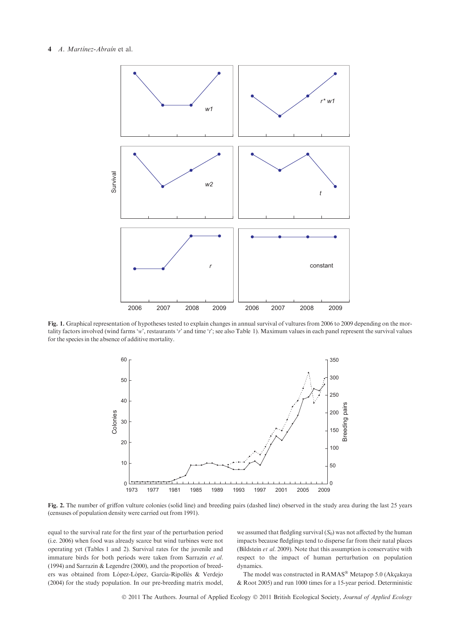## 4 A. Martínez-Abraín et al.



Fig. 1. Graphical representation of hypotheses tested to explain changes in annual survival of vultures from 2006 to 2009 depending on the mortality factors involved (wind farms 'w', restaurants 'r' and time 't'; see also Table 1). Maximum values in each panel represent the survival values for the species in the absence of additive mortality.



Fig. 2. The number of griffon vulture colonies (solid line) and breeding pairs (dashed line) observed in the study area during the last 25 years (censuses of population density were carried out from 1991).

equal to the survival rate for the first year of the perturbation period (i.e. 2006) when food was already scarce but wind turbines were not operating yet (Tables 1 and 2). Survival rates for the juvenile and immature birds for both periods were taken from Sarrazin et al. (1994) and Sarrazin & Legendre (2000), and the proportion of breeders was obtained from López-López, García-Ripollés & Verdejo (2004) for the study population. In our pre-breeding matrix model, we assumed that fledgling survival  $(S_0)$  was not affected by the human impacts because fledglings tend to disperse far from their natal places (Bildstein et al. 2009). Note that this assumption is conservative with respect to the impact of human perturbation on population dynamics.

The model was constructed in RAMAS® Metapop 5.0 (Akçakaya & Root 2005) and run 1000 times for a 15-year period. Deterministic

© 2011 The Authors. Journal of Applied Ecology © 2011 British Ecological Society, Journal of Applied Ecology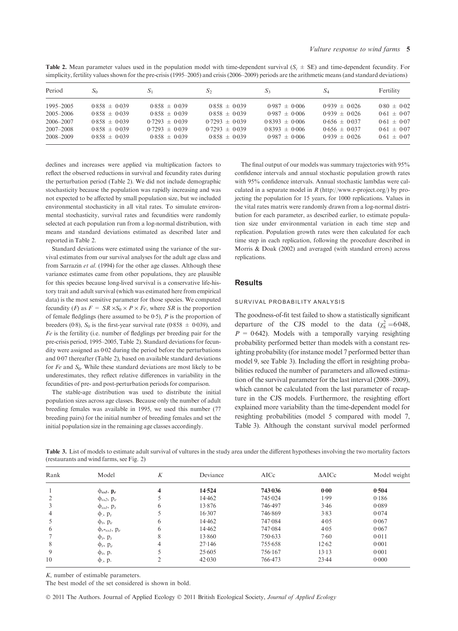| <b>Table 2.</b> Mean parameter values used in the population model with time-dependent survival $(S_i \pm SE)$ and time-dependent fecundity. For    |  |  |  |  |  |  |  |
|-----------------------------------------------------------------------------------------------------------------------------------------------------|--|--|--|--|--|--|--|
| simplicity, fertility values shown for the pre-crisis (1995–2005) and crisis (2006–2009) periods are the arithmetic means (and standard deviations) |  |  |  |  |  |  |  |

| Period        | $S_0$             | $S_1$              | $S_2$              | S <sub>3</sub>     | $S_4$             | Fertility       |
|---------------|-------------------|--------------------|--------------------|--------------------|-------------------|-----------------|
| 1995–2005     | $0.858 \pm 0.039$ | $0.858 \pm 0.039$  | $0.858 \pm 0.039$  | $0.987 \pm 0.006$  | $0.939 \pm 0.026$ | $0.80 \pm 0.02$ |
| $2005 - 2006$ | $0.858 \pm 0.039$ | $0.858 \pm 0.039$  | $0.858 \pm 0.039$  | $0.987 \pm 0.006$  | $0.939 \pm 0.026$ | $0.61 \pm 0.07$ |
| 2006-2007     | $0.858 \pm 0.039$ | $0.7293 \pm 0.039$ | $0.7293 \pm 0.039$ | $0.8393 \pm 0.006$ | $0.656 \pm 0.037$ | $0.61 \pm 0.07$ |
| $2007 - 2008$ | $0.858 \pm 0.039$ | $0.7293 \pm 0.039$ | $0.7293 \pm 0.039$ | $0.8393 \pm 0.006$ | $0.656 \pm 0.037$ | $0.61 \pm 0.07$ |
| 2008-2009     | $0.858 \pm 0.039$ | $0.858 \pm 0.039$  | $0.858 \pm 0.039$  | $0.987 \pm 0.006$  | $0.939 \pm 0.026$ | $0.61 \pm 0.07$ |

declines and increases were applied via multiplication factors to reflect the observed reductions in survival and fecundity rates during the perturbation period (Table 2). We did not include demographic stochasticity because the population was rapidly increasing and was not expected to be affected by small population size, but we included environmental stochasticity in all vital rates. To simulate environmental stochasticity, survival rates and fecundities were randomly selected at each population run from a log-normal distribution, with means and standard deviations estimated as described later and reported in Table 2.

Standard deviations were estimated using the variance of the survival estimates from our survival analyses for the adult age class and from Sarrazin et al. (1994) for the other age classes. Although these variance estimates came from other populations, they are plausible for this species because long-lived survival is a conservative life-history trait and adult survival (which was estimated here from empirical data) is the most sensitive parameter for those species. We computed fecundity (F) as  $F = SR \times S_0 \times P \times Fe$ , where SR is the proportion of female fledglings (here assumed to be  $0.5$ ),  $P$  is the proportion of breeders (0.8),  $S_0$  is the first-year survival rate (0.858  $\pm$  0.039), and Fe is the fertility (i.e. number of fledglings per breeding pair for the pre-crisis period, 1995–2005, Table 2). Standard deviations for fecundity were assigned as  $0.02$  during the period before the perturbations and 0<sup>.07</sup> thereafter (Table 2), based on available standard deviations for  $Fe$  and  $S_0$ . While these standard deviations are most likely to be underestimates, they reflect relative differences in variability in the fecundities of pre- and post-perturbation periods for comparison.

The stable-age distribution was used to distribute the initial population sizes across age classes. Because only the number of adult breeding females was available in 1995, we used this number (77 breeding pairs) for the initial number of breeding females and set the initial population size in the remaining age classes accordingly.

The final output of our models was summary trajectories with 95% confidence intervals and annual stochastic population growth rates with 95% confidence intervals. Annual stochastic lambdas were calculated in a separate model in  $R$  (http://www.r-project.org/) by projecting the population for 15 years, for 1000 replications. Values in the vital rates matrix were randomly drawn from a log-normal distribution for each parameter, as described earlier, to estimate population size under environmental variation in each time step and replication. Population growth rates were then calculated for each time step in each replication, following the procedure described in Morris & Doak (2002) and averaged (with standard errors) across replications.

# Results

#### SURVIVAL PROBABILITY ANALYSIS

The goodness-of-fit test failed to show a statistically significant departure of the CJS model to the data  $(\chi^2_8 = 6.048,$  $P = 0.642$ ). Models with a temporally varying resighting probability performed better than models with a constant resighting probability (for instance model 7 performed better than model 9, see Table 3). Including the effort in resighting probabilities reduced the number of parameters and allowed estimation of the survival parameter for the last interval (2008–2009), which cannot be calculated from the last parameter of recapture in the CJS models. Furthermore, the resighting effort explained more variability than the time-dependent model for resighting probabilities (model 5 compared with model 7, Table 3). Although the constant survival model performed

Table 3. List of models to estimate adult survival of vultures in the study area under the different hypotheses involving the two mortality factors (restaurants and wind farms, see Fig. 2)

| Rank | Model                              | K | Deviance | AICc    | $\triangle AICc$ | Model weight<br>0.504 |  |
|------|------------------------------------|---|----------|---------|------------------|-----------------------|--|
|      | $\Phi_{\omega l}$ , $\mathbf{p}_e$ | 4 | 14.524   | 743.036 | 0.00             |                       |  |
|      | $\phi_{\omega^2}$ , $p_e$          |   | 14.462   | 745.024 | 1.99             | 0.186                 |  |
| 3    | $\Phi_{\omega l}$ , $p_l$          | 6 | 13.876   | 746.497 | 3.46             | 0.089                 |  |
| 4    | $\phi$ ., $p_t$                    |   | 16.307   | 746.869 | 3.83             | 0.074                 |  |
|      | $\Phi_t$ , $p_e$                   | 6 | 14.462   | 747.084 | 4.05             | 0.067                 |  |
| 6    | $\Phi_{r^* \omega l}$ , $p_e$      | 6 | 14.462   | 747.084 | 4.05             | 0.067                 |  |
|      | $\Phi_t$ , $p_t$                   | 8 | 13.860   | 750.633 | 7.60             | 0.011                 |  |
| 8    | $\Phi_r$ , $p_e$                   | 4 | 27.146   | 755.658 | 12.62            | 0.001                 |  |
| 9    | $\Phi_t$ , p.                      |   | 25.605   | 756.167 | 13.13            | 0.001                 |  |
| 10   | $\varphi$ , p.                     |   | 42.030   | 766.473 | 23.44            | 0.000                 |  |

K, number of estimable parameters.

The best model of the set considered is shown in bold.

© 2011 The Authors. Journal of Applied Ecology © 2011 British Ecological Society, Journal of Applied Ecology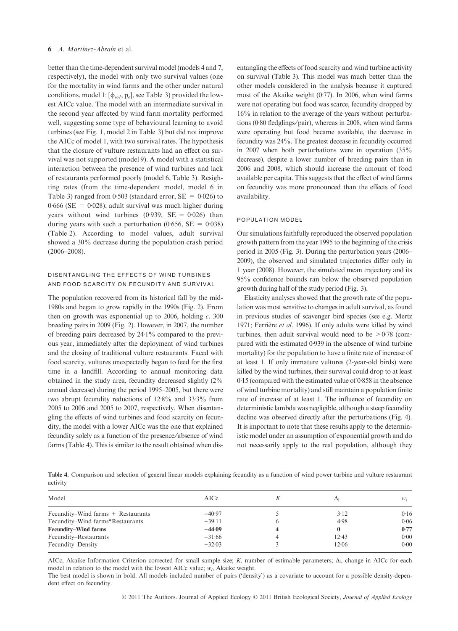## 6 A. Martinez-Abrain et al.

better than the time-dependent survival model (models 4 and 7, respectively), the model with only two survival values (one for the mortality in wind farms and the other under natural conditions, model 1:  $[\phi_{\omega I}, p_e]$ , see Table 3) provided the lowest AICc value. The model with an intermediate survival in the second year affected by wind farm mortality performed well, suggesting some type of behavioural learning to avoid turbines (see Fig. 1, model 2 in Table 3) but did not improve the AICc of model 1, with two survival rates. The hypothesis that the closure of vulture restaurants had an effect on survival was not supported (model 9). A model with a statistical interaction between the presence of wind turbines and lack of restaurants performed poorly (model 6, Table 3). Resighting rates (from the time-dependent model, model 6 in Table 3) ranged from 0.503 (standard error,  $SE = 0.026$ ) to  $0.666$  (SE = 0.028); adult survival was much higher during years without wind turbines  $(0.939, \text{SE} = 0.026)$  than during years with such a perturbation (0.656,  $SE = 0.038$ ) (Table 2). According to model values, adult survival showed a 30% decrease during the population crash period (2006–2008).

# DISENTANGLING THE EFFECTS OF WIND TURBINES AND FOOD SCARCITY ON FECUNDITY AND SURVIVAL

The population recovered from its historical fall by the mid-1980s and began to grow rapidly in the 1990s (Fig. 2). From then on growth was exponential up to 2006, holding  $c$ . 300 breeding pairs in 2009 (Fig. 2). However, in 2007, the number of breeding pairs decreased by  $24·1\%$  compared to the previous year, immediately after the deployment of wind turbines and the closing of traditional vulture restaurants. Faced with food scarcity, vultures unexpectedly began to feed for the first time in a landfill. According to annual monitoring data obtained in the study area, fecundity decreased slightly (2% annual decrease) during the period 1995–2005, but there were two abrupt fecundity reductions of  $12.8\%$  and  $33.3\%$  from 2005 to 2006 and 2005 to 2007, respectively. When disentangling the effects of wind turbines and food scarcity on fecundity, the model with a lower AICc was the one that explained fecundity solely as a function of the presence ⁄ absence of wind farms (Table 4). This is similar to the result obtained when disentangling the effects of food scarcity and wind turbine activity on survival (Table 3). This model was much better than the other models considered in the analysis because it captured most of the Akaike weight  $(0.77)$ . In 2006, when wind farms were not operating but food was scarce, fecundity dropped by 16% in relation to the average of the years without perturbations (0.80 fledglings/pair), whereas in 2008, when wind farms were operating but food became available, the decrease in fecundity was 24%. The greatest decease in fecundity occurred in 2007 when both perturbations were in operation (35% decrease), despite a lower number of breeding pairs than in 2006 and 2008, which should increase the amount of food available per capita. This suggests that the effect of wind farms on fecundity was more pronounced than the effects of food availability.

## POPULATION MODEL

Our simulations faithfully reproduced the observed population growth pattern from the year 1995 to the beginning of the crisis period in 2005 (Fig. 3). During the perturbation years (2006– 2009), the observed and simulated trajectories differ only in 1 year (2008). However, the simulated mean trajectory and its 95% confidence bounds ran below the observed population growth during half of the study period (Fig. 3).

Elasticity analyses showed that the growth rate of the population was most sensitive to changes in adult survival, as found in previous studies of scavenger bird species (see e.g. Mertz 1971; Ferrière et al. 1996). If only adults were killed by wind turbines, then adult survival would need to be  $> 0.78$  (compared with the estimated  $0.939$  in the absence of wind turbine mortality) for the population to have a finite rate of increase of at least 1. If only immature vultures (2-year-old birds) were killed by the wind turbines, their survival could drop to at least  $0.15$  (compared with the estimated value of  $0.858$  in the absence of wind turbine mortality) and still maintain a population finite rate of increase of at least 1. The influence of fecundity on deterministic lambda was negligible, although a steep fecundity decline was observed directly after the perturbations (Fig. 4). It is important to note that these results apply to the deterministic model under an assumption of exponential growth and do not necessarily apply to the real population, although they

Table 4. Comparison and selection of general linear models explaining fecundity as a function of wind power turbine and vulture restaurant activity

| AICc     | Δi       | $W_i$ |
|----------|----------|-------|
| $-40.97$ | 3.12     | 0.16  |
| $-39.11$ | 4.98     | 0.06  |
| $-44.09$ | $\bf{0}$ | 0.77  |
| $-31.66$ | 12.43    | 0.00  |
| $-32.03$ | 12.06    | 0.00  |
|          |          |       |

AICc, Akaike Information Criterion corrected for small sample size; K, number of estimable parameters;  $\Delta_i$ , change in AICc for each model in relation to the model with the lowest AICc value;  $w_i$ , Akaike weight.

The best model is shown in bold. All models included number of pairs ('density') as a covariate to account for a possible density-dependent effect on fecundity.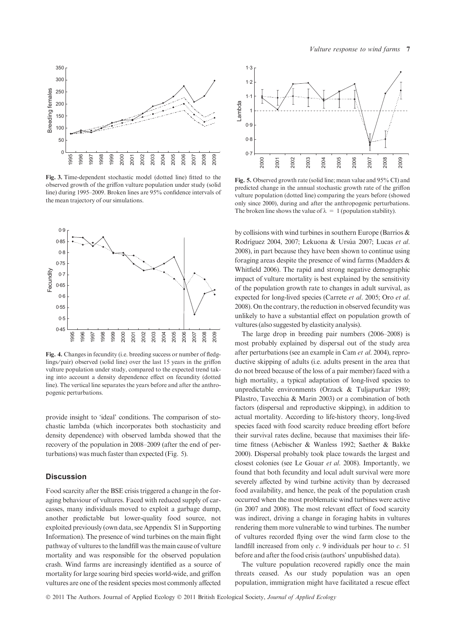



Fig. 3. Time-dependent stochastic model (dotted line) fitted to the observed growth of the griffon vulture population under study (solid line) during 1995–2009. Broken lines are 95% confidence intervals of the mean trajectory of our simulations.



Fig. 4. Changes in fecundity (i.e. breeding success or number of fledglings⁄ pair) observed (solid line) over the last 15 years in the griffon vulture population under study, compared to the expected trend taking into account a density dependence effect on fecundity (dotted line). The vertical line separates the years before and after the anthropogenic perturbations.

provide insight to 'ideal' conditions. The comparison of stochastic lambda (which incorporates both stochasticity and density dependence) with observed lambda showed that the recovery of the population in 2008–2009 (after the end of perturbations) was much faster than expected (Fig. 5).

# **Discussion**

Food scarcity after the BSE crisis triggered a change in the foraging behaviour of vultures. Faced with reduced supply of carcasses, many individuals moved to exploit a garbage dump, another predictable but lower-quality food source, not exploited previously (own data, see Appendix S1 in Supporting Information). The presence of wind turbines on the main flight pathway of vultures to the landfill was the main cause of vulture mortality and was responsible for the observed population crash. Wind farms are increasingly identified as a source of mortality for large soaring bird species world-wide, and griffon vultures are one of the resident species most commonly affected



Fig. 5. Observed growth rate (solid line; mean value and 95% CI) and predicted change in the annual stochastic growth rate of the griffon vulture population (dotted line) comparing the years before (showed only since 2000), during and after the anthropogenic perturbations. The broken line shows the value of  $\lambda = 1$  (population stability).

by collisions with wind turbines in southern Europe (Barrios & Rodríguez 2004, 2007; Lekuona & Ursúa 2007; Lucas et al. 2008), in part because they have been shown to continue using foraging areas despite the presence of wind farms (Madders & Whitfield 2006). The rapid and strong negative demographic impact of vulture mortality is best explained by the sensitivity of the population growth rate to changes in adult survival, as expected for long-lived species (Carrete et al. 2005; Oro et al. 2008). On the contrary, the reduction in observed fecundity was unlikely to have a substantial effect on population growth of vultures (also suggested by elasticity analysis).

The large drop in breeding pair numbers (2006–2008) is most probably explained by dispersal out of the study area after perturbations (see an example in Cam et al. 2004), reproductive skipping of adults (i.e. adults present in the area that do not breed because of the loss of a pair member) faced with a high mortality, a typical adaptation of long-lived species to unpredictable environments (Orzack & Tuljapurkar 1989; Pilastro, Tavecchia & Marin 2003) or a combination of both factors (dispersal and reproductive skipping), in addition to actual mortality. According to life-history theory, long-lived species faced with food scarcity reduce breeding effort before their survival rates decline, because that maximises their lifetime fitness (Aebischer & Wanless 1992; Saether & Bakke 2000). Dispersal probably took place towards the largest and closest colonies (see Le Gouar et al. 2008). Importantly, we found that both fecundity and local adult survival were more severely affected by wind turbine activity than by decreased food availability, and hence, the peak of the population crash occurred when the most problematic wind turbines were active (in 2007 and 2008). The most relevant effect of food scarcity was indirect, driving a change in foraging habits in vultures rendering them more vulnerable to wind turbines. The number of vultures recorded flying over the wind farm close to the landfill increased from only  $c$ . 9 individuals per hour to  $c$ . 51 before and after the food crisis (authors' unpublished data).

The vulture population recovered rapidly once the main threats ceased. As our study population was an open population, immigration might have facilitated a rescue effect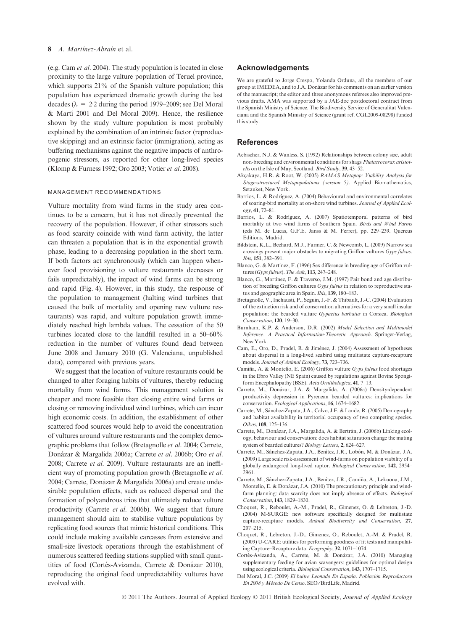## 8 A. Martinez-Abrain et al.

(e.g. Cam et al. 2004). The study population is located in close proximity to the large vulture population of Teruel province, which supports  $21\%$  of the Spanish vulture population; this population has experienced dramatic growth during the last decades ( $\lambda = 2.2$  during the period 1979–2009; see Del Moral & Martı´ 2001 and Del Moral 2009). Hence, the resilience shown by the study vulture population is most probably explained by the combination of an intrinsic factor (reproductive skipping) and an extrinsic factor (immigration), acting as buffering mechanisms against the negative impacts of anthropogenic stressors, as reported for other long-lived species (Klomp & Furness 1992; Oro 2003; Votier et al. 2008).

## MANAGEMENT RECOMMENDATIONS

Vulture mortality from wind farms in the study area continues to be a concern, but it has not directly prevented the recovery of the population. However, if other stressors such as food scarcity coincide with wind farm activity, the latter can threaten a population that is in the exponential growth phase, leading to a decreasing population in the short term. If both factors act synchronously (which can happen whenever food provisioning to vulture restaurants decreases or fails unpredictably), the impact of wind farms can be strong and rapid (Fig. 4). However, in this study, the response of the population to management (halting wind turbines that caused the bulk of mortality and opening new vulture restaurants) was rapid, and vulture population growth immediately reached high lambda values. The cessation of the 50 turbines located close to the landfill resulted in a 50–60% reduction in the number of vultures found dead between June 2008 and January 2010 (G. Valenciana, unpublished data), compared with previous years.

We suggest that the location of vulture restaurants could be changed to alter foraging habits of vultures, thereby reducing mortality from wind farms. This management solution is cheaper and more feasible than closing entire wind farms or closing or removing individual wind turbines, which can incur high economic costs. In addition, the establishment of other scattered food sources would help to avoid the concentration of vultures around vulture restaurants and the complex demographic problems that follow (Bretagnolle et al. 2004; Carrete, Donázar & Margalida 2006a; Carrete et al. 2006b; Oro et al. 2008; Carrete et al. 2009). Vulture restaurants are an inefficient way of promoting population growth (Bretagnolle et al. 2004; Carrete, Donázar & Margalida 2006a) and create undesirable population effects, such as reduced dispersal and the formation of polyandrous trios that ultimately reduce vulture productivity (Carrete et al. 2006b). We suggest that future management should aim to stabilise vulture populations by replicating food sources that mimic historical conditions. This could include making available carcasses from extensive and small-size livestock operations through the establishment of numerous scattered feeding stations supplied with small quantities of food (Cortés-Avizanda, Carrete & Donázar 2010), reproducing the original food unpredictability vultures have evolved with.

## Acknowledgements

We are grateful to Jorge Crespo, Yolanda Orduna, all the members of our group at IMEDEA, and to J.A. Donázar for his comments on an earlier version of the manuscript; the editor and three anonymous referees also improved previous drafts. AMA was supported by a JAE-doc postdoctoral contract from the Spanish Ministry of Science. The Biodiversity Service of Generalitat Valenciana and the Spanish Ministry of Science (grant ref. CGL2009-08298) funded this study.

## References

- Aebischer, N.J. & Wanless, S. (1992) Relationships between colony size, adult non-breeding and environmental conditions for shags Phalacrocorax aristotelis on the Isle of May, Scotland. Bird Study, 39, 43–52.
- Akçakaya, H.R. & Root, W. (2005) RAMAS Metapop: Viability Analysis for Stage-structured Metapopulations (version 5). Applied Biomathematics, Setauket, New York.
- Barrios, L. & Rodríguez, A. (2004) Behavioural and environmental correlates of soaring-bird mortality at on-shore wind turbines. Journal of Applied Ecology, 41, 72–81.
- Barrios, L. & Rodríguez, A. (2007) Spatiotemporal patterns of bird mortality at two wind farms of Southern Spain. Birds and Wind Farms (eds M. de Lucas, G.F.E. Janss & M. Ferrer), pp. 229–239. Quercus Editions, Madrid.
- Bildstein, K.L., Bechard, M.J., Farmer, C. & Newcomb, L. (2009) Narrow sea crossings present major obstacles to migrating Griffon vultures Gyps fulvus. Ibis, 151, 382–391.
- Blanco, G. & Martínez, F. (1996) Sex difference in breeding age of Griffon vultures (Gyps fulvus). The Auk, 113, 247–248.
- Blanco, G., Martínez, F. & Traverso, J.M. (1997) Pair bond and age distribution of breeding Griffon cultures Gyps fulvus in relation to reproductive status and geographic area in Spain. Ibis, 139, 180–183.
- Bretagnolle, V., Inchausti, P., Seguin, J.-F. & Thibault, J.-C. (2004) Evaluation of the extinction risk and of conservation alternatives for a very small insular population: the bearded vulture Gypaetus barbatus in Corsica. Biological Conservation, 120, 19–30.
- Burnham, K.P. & Anderson, D.R. (2002) Model Selection and Multimodel Inference. A Practical Information-Theoretic Approach. Springer-Verlag, New York.
- Cam, E., Oro, D., Pradel, R. & Jiménez, J. (2004) Assessment of hypotheses about dispersal in a long-lived seabird using multistate capture-recapture models. Journal of Animal Ecology, 73, 723–736.
- Camiña, A. & Montelio, E. (2006) Griffon vulture Gyps fulvus food shortages in the Ebro Valley (NE Spain) caused by regulations against Bovine Spongiform Encephalopathy (BSE). Acta Ornithologica, 41, 7–13.
- Carrete, M., Donázar, J.A. & Margalida, A. (2006a) Density-dependent productivity depression in Pyrenean bearded vultures: implications for conservation. Ecological Applications, 16, 1674–1682.
- Carrete, M., Sánchez-Zapata, J.A., Calvo, J.F. & Lande, R. (2005) Demography and habitat availability in territorial occupancy of two competing species. Oikos, 108, 125–136.
- Carrete, M., Donázar, J.A., Margalida, A. & Bertrán, J. (2006b) Linking ecology, behaviour and conservation: does habitat saturation change the mating system of bearded cultures? Biology Letters, 2, 624–627.
- Carrete, M., Sánchez-Zapata, J.A., Benítez, J.R., Lobón, M. & Donázar, J.A. (2009) Large scale risk-assessment of wind-farms on population viability of a globally endangered long-lived raptor. Biological Conservation, 142, 2954– 2961.
- Carrete, M., Sánchez-Zapata, J.A., Benítez, J.R., Camiña, A., Lekuona, J.M., Montelio, E. & Donázar, J.A. (2010) The precautionary principle and windfarm planning: data scarcity does not imply absence of effects. Biological Conservation, 143, 1829–1830.
- Choquet, R., Reboulet, A.-M., Pradel, R., Gimenez, O. & Lebreton, J.-D. (2004) M-SURGE: new software specifically designed for multistate capture-recapture models. Animal Biodiversity and Conservation, 27, 207–215.
- Choquet, R., Lebreton, J.-D., Gimenez, O., Reboulet, A.-M. & Pradel, R. (2009) U-CARE: utilities for performing goodness of fit tests and manipulating Capture–Recapture data. Ecography, 32, 1071–1074.
- Cortés-Avizanda, A., Carrete, M. & Donázar, J.A. (2010) Managing supplementary feeding for avian scavengers: guidelines for optimal design using ecological criteria. Biological Conservation, 143, 1707–1715.

Del Moral, J.C. (2009) El buitre Leonado En España. Población Reproductora En 2008 y Me´todo De Censo. SEO ⁄ BirdLife, Madrid.